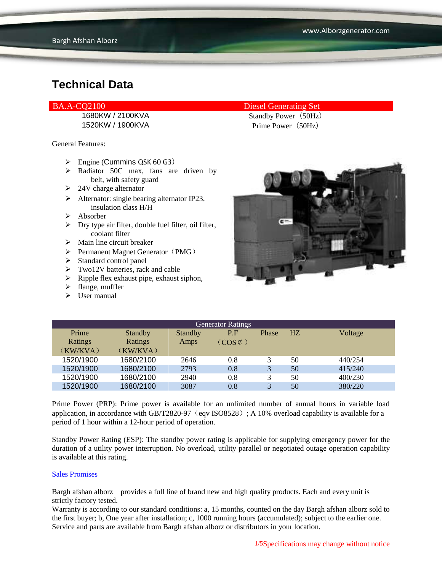#### BA.A-CQ2100 Diesel Generating Set

1520KW / 1900KVA Prime Power (50Hz)

General Features:

- $\triangleright$  Engine (Cummins QSK 60 G3)
- > Radiator 50C max, fans are driven by belt, with safety guard
- $\geq 24V$  charge alternator
- $\triangleright$  Alternator: single bearing alternator IP23, insulation class H/H
- $\triangleright$  Absorber
- $\triangleright$  Dry type air filter, double fuel filter, oil filter, coolant filter
- $\triangleright$  Main line circuit breaker
- $\triangleright$  Permanent Magnet Generator (PMG)
- $\triangleright$  Standard control panel
- $\triangleright$  Two12V batteries, rack and cable
- $\triangleright$  Ripple flex exhaust pipe, exhaust siphon,
- $\triangleright$  flange, muffler
- $\sum$  User manual

1680KW / 2100KVA Standby Power (50Hz)



| <b>Generator Ratings</b> |                |                |                     |              |                |         |
|--------------------------|----------------|----------------|---------------------|--------------|----------------|---------|
| Prime                    | <b>Standby</b> | <b>Standby</b> | P.F                 | Phase        | H <sub>Z</sub> | Voltage |
| Ratings                  | Ratings        | Amps           | $(COS \mathcal{L})$ |              |                |         |
| (KW/KVA)                 | (KW/KVA)       |                |                     |              |                |         |
| 1520/1900                | 1680/2100      | 2646           | 0.8                 | 3            | 50             | 440/254 |
| 1520/1900                | 1680/2100      | 2793           | 0.8                 | 3            | 50             | 415/240 |
| 1520/1900                | 1680/2100      | 2940           | 0.8                 |              | 50             | 400/230 |
| 1520/1900                | 1680/2100      | 3087           | 0.8                 | $\mathbf{R}$ | 50             | 380/220 |

Prime Power (PRP): Prime power is available for an unlimited number of annual hours in variable load application, in accordance with GB/T2820-97 (eqv ISO8528); A 10% overload capability is available for a period of 1 hour within a 12-hour period of operation.

Standby Power Rating (ESP): The standby power rating is applicable for supplying emergency power for the duration of a utility power interruption. No overload, utility parallel or negotiated outage operation capability is available at this rating.

#### Sales Promises

Bargh afshan alborz provides a full line of brand new and high quality products. Each and every unit is strictly factory tested.

Warranty is according to our standard conditions: a, 15 months, counted on the day Bargh afshan alborz sold to the first buyer; b, One year after installation; c, 1000 running hours (accumulated); subject to the earlier one. Service and parts are available from Bargh afshan alborz or distributors in your location.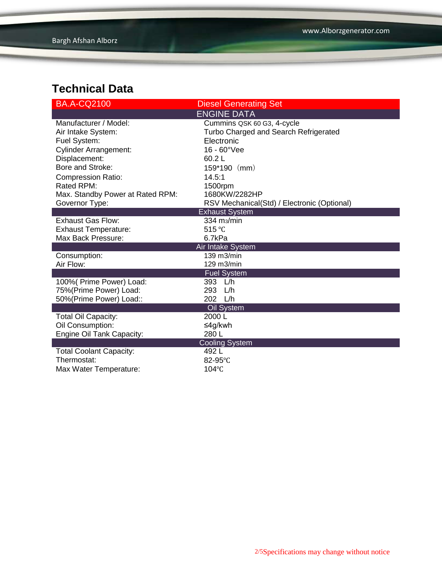| <b>BA.A-CQ2100</b>                             | <b>Diesel Generating Set</b>                |  |  |  |
|------------------------------------------------|---------------------------------------------|--|--|--|
|                                                | <b>ENGINE DATA</b>                          |  |  |  |
| Manufacturer / Model:                          | Cummins QSK 60 G3, 4-cycle                  |  |  |  |
| Air Intake System:                             | Turbo Charged and Search Refrigerated       |  |  |  |
| Fuel System:                                   | Electronic                                  |  |  |  |
| <b>Cylinder Arrangement:</b>                   | $16 - 60^{\circ}$ Vee                       |  |  |  |
| Displacement:                                  | 60.2L                                       |  |  |  |
| Bore and Stroke:                               | 159*190 (mm)                                |  |  |  |
| <b>Compression Ratio:</b>                      | 14.5:1                                      |  |  |  |
| Rated RPM:                                     | 1500rpm                                     |  |  |  |
| Max. Standby Power at Rated RPM:               | 1680KW/2282HP                               |  |  |  |
| Governor Type:                                 | RSV Mechanical(Std) / Electronic (Optional) |  |  |  |
|                                                | <b>Exhaust System</b>                       |  |  |  |
| <b>Exhaust Gas Flow:</b>                       | $334 \text{ m}$ <sub>3</sub> /min           |  |  |  |
| <b>Exhaust Temperature:</b>                    | 515 $°C$                                    |  |  |  |
| Max Back Pressure:                             | 6.7kPa                                      |  |  |  |
|                                                | Air Intake System                           |  |  |  |
| Consumption:                                   | 139 m3/min                                  |  |  |  |
| Air Flow:                                      | 129 m3/min                                  |  |  |  |
|                                                | <b>Fuel System</b>                          |  |  |  |
| 100%( Prime Power) Load:                       | 393 L/h                                     |  |  |  |
| 75%(Prime Power) Load:                         | 293 L/h                                     |  |  |  |
| 50%(Prime Power) Load::                        | 202 L/h                                     |  |  |  |
|                                                | Oil System<br>2000 L                        |  |  |  |
| <b>Total Oil Capacity:</b><br>Oil Consumption: | ≤4g/kwh                                     |  |  |  |
| Engine Oil Tank Capacity:                      | 280L                                        |  |  |  |
|                                                | <b>Cooling System</b>                       |  |  |  |
| <b>Total Coolant Capacity:</b>                 | 492L                                        |  |  |  |
| Thermostat:                                    | 82-95°C                                     |  |  |  |
| Max Water Temperature:                         | $104^{\circ}$ C                             |  |  |  |
|                                                |                                             |  |  |  |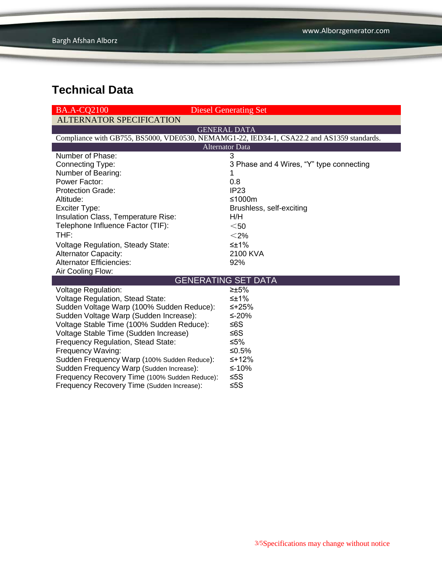| <b>BA.A-CO2100</b>                                                                         | <b>Diesel Generating Set</b>             |  |  |  |  |
|--------------------------------------------------------------------------------------------|------------------------------------------|--|--|--|--|
| <b>ALTERNATOR SPECIFICATION</b>                                                            |                                          |  |  |  |  |
|                                                                                            | <b>GENERAL DATA</b>                      |  |  |  |  |
| Compliance with GB755, BS5000, VDE0530, NEMAMG1-22, IED34-1, CSA22.2 and AS1359 standards. |                                          |  |  |  |  |
| <b>Alternator Data</b>                                                                     |                                          |  |  |  |  |
| Number of Phase:                                                                           | 3                                        |  |  |  |  |
| Connecting Type:                                                                           | 3 Phase and 4 Wires, "Y" type connecting |  |  |  |  |
| Number of Bearing:                                                                         |                                          |  |  |  |  |
| Power Factor:                                                                              | 0.8                                      |  |  |  |  |
| <b>Protection Grade:</b>                                                                   | IP <sub>23</sub>                         |  |  |  |  |
| Altitude:                                                                                  | ≤1000m                                   |  |  |  |  |
| Exciter Type:                                                                              | Brushless, self-exciting                 |  |  |  |  |
| Insulation Class, Temperature Rise:                                                        | H/H                                      |  |  |  |  |
| Telephone Influence Factor (TIF):                                                          | $50$                                     |  |  |  |  |
| THF:                                                                                       | $<$ 2%                                   |  |  |  |  |
| <b>Voltage Regulation, Steady State:</b>                                                   | $\leq \pm 1\%$                           |  |  |  |  |
| <b>Alternator Capacity:</b>                                                                | 2100 KVA                                 |  |  |  |  |
| <b>Alternator Efficiencies:</b>                                                            | 92%                                      |  |  |  |  |
| Air Cooling Flow:                                                                          |                                          |  |  |  |  |
| <b>GENERATING SET DATA</b>                                                                 |                                          |  |  |  |  |
| Voltage Regulation:                                                                        | $\geq \pm 5\%$                           |  |  |  |  |
| Voltage Regulation, Stead State:                                                           | $\leq \pm 1\%$                           |  |  |  |  |
| Sudden Voltage Warp (100% Sudden Reduce):                                                  | ≤+25%                                    |  |  |  |  |
| Sudden Voltage Warp (Sudden Increase):                                                     | ≤-20%                                    |  |  |  |  |
| Voltage Stable Time (100% Sudden Reduce):                                                  | ≤6S                                      |  |  |  |  |
| Voltage Stable Time (Sudden Increase)                                                      | ≤6S                                      |  |  |  |  |
| Frequency Regulation, Stead State:                                                         | ≤5%                                      |  |  |  |  |
| Frequency Waving:                                                                          | ≤0.5%                                    |  |  |  |  |
| Sudden Frequency Warp (100% Sudden Reduce):                                                | $≤+12%$                                  |  |  |  |  |
| Sudden Frequency Warp (Sudden Increase):                                                   | ≤-10%                                    |  |  |  |  |
| Frequency Recovery Time (100% Sudden Reduce):                                              | ≤5S                                      |  |  |  |  |
| Frequency Recovery Time (Sudden Increase):                                                 | $≤5S$                                    |  |  |  |  |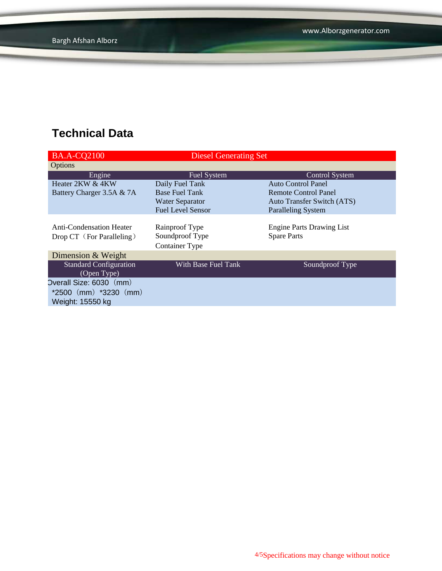| <b>Diesel Generating Set</b> |                                   |
|------------------------------|-----------------------------------|
|                              |                                   |
| Fuel System                  | <b>Control System</b>             |
| Daily Fuel Tank              | <b>Auto Control Panel</b>         |
| <b>Base Fuel Tank</b>        | Remote Control Panel              |
| <b>Water Separator</b>       | <b>Auto Transfer Switch (ATS)</b> |
| <b>Fuel Level Sensor</b>     | <b>Paralleling System</b>         |
|                              |                                   |
| Rainproof Type               | <b>Engine Parts Drawing List</b>  |
| Soundproof Type              | <b>Spare Parts</b>                |
| <b>Container Type</b>        |                                   |
|                              |                                   |
| With Base Fuel Tank          | Soundproof Type                   |
|                              |                                   |
| Overall Size: 6030 (mm)      |                                   |
|                              |                                   |
|                              |                                   |
|                              |                                   |